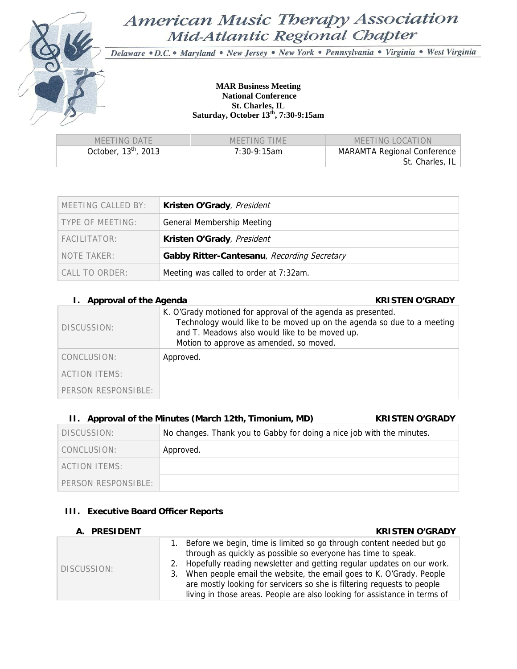

# American Music Therapy Association Mid-Atlantic Regional Chapter

Delaware · D.C. · Maryland · New Jersey · New York · Pennsylvania · Virginia · West Virginia

#### **MAR Business Meeting National Conference St. Charles, IL Saturday, October 13th, 7:30-9:15am**

| MEETING DATE           | MFFTING TIMF   | MEETING LOCATION                   |
|------------------------|----------------|------------------------------------|
| October, $13th$ , 2013 | $7:30-9:15$ am | <b>MARAMTA Regional Conference</b> |
|                        |                | St. Charles, IL                    |

| MEETING CALLED BY: | Kristen O'Grady, President                  |  |
|--------------------|---------------------------------------------|--|
| TYPE OF MEETING:   | <b>General Membership Meeting</b>           |  |
| FACILITATOR:       | Kristen O'Grady, President                  |  |
| NOTE TAKER:        | Gabby Ritter-Cantesanu, Recording Secretary |  |
| CALL TO ORDER:     | Meeting was called to order at 7:32am.      |  |

#### **I.** Approval of the Agenda **KRISTEN O'GRADY**

| DISCUSSION:          | K. O'Grady motioned for approval of the agenda as presented.<br>Technology would like to be moved up on the agenda so due to a meeting<br>and T. Meadows also would like to be moved up.<br>Motion to approve as amended, so moved. |
|----------------------|-------------------------------------------------------------------------------------------------------------------------------------------------------------------------------------------------------------------------------------|
| CONCLUSION:          | Approved.                                                                                                                                                                                                                           |
| <b>ACTION ITEMS:</b> |                                                                                                                                                                                                                                     |
| PERSON RESPONSIBLE:  |                                                                                                                                                                                                                                     |

### **II. Approval of the Minutes (March 12th, Timonium, MD) KRISTEN O'GRADY**

| DISCUSSION:                        | No changes. Thank you to Gabby for doing a nice job with the minutes. |
|------------------------------------|-----------------------------------------------------------------------|
| CONCLUSION:                        | Approved.                                                             |
| ACTION ITEMS:                      |                                                                       |
| $\overline{P}$ PFRSON RESPONSIBLE: |                                                                       |

#### **III. Executive Board Officer Reports**

| A. PRESIDENT | <b>KRISTEN O'GRADY</b>                                                                                                                                                                                                                                                                                                                                                                                                                              |
|--------------|-----------------------------------------------------------------------------------------------------------------------------------------------------------------------------------------------------------------------------------------------------------------------------------------------------------------------------------------------------------------------------------------------------------------------------------------------------|
| DISCUSSION:  | Before we begin, time is limited so go through content needed but go<br>through as quickly as possible so everyone has time to speak.<br>2. Hopefully reading newsletter and getting regular updates on our work.<br>3. When people email the website, the email goes to K. O'Grady. People<br>are mostly looking for servicers so she is filtering requests to people<br>living in those areas. People are also looking for assistance in terms of |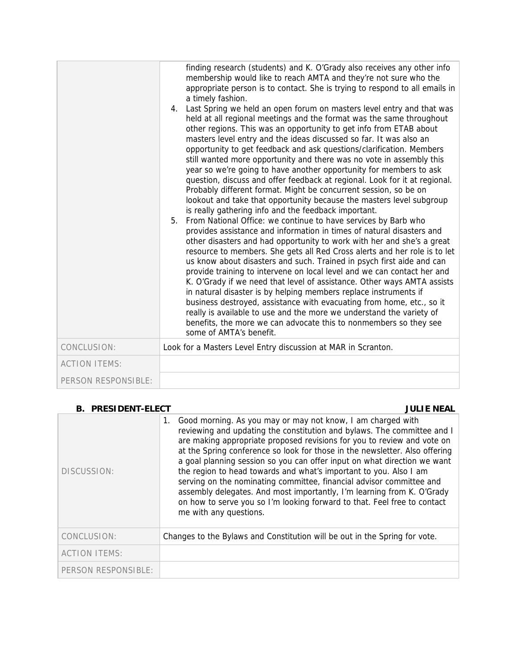|                      | finding research (students) and K. O'Grady also receives any other info<br>membership would like to reach AMTA and they're not sure who the<br>appropriate person is to contact. She is trying to respond to all emails in<br>a timely fashion.<br>4. Last Spring we held an open forum on masters level entry and that was<br>held at all regional meetings and the format was the same throughout<br>other regions. This was an opportunity to get info from ETAB about<br>masters level entry and the ideas discussed so far. It was also an<br>opportunity to get feedback and ask questions/clarification. Members<br>still wanted more opportunity and there was no vote in assembly this<br>year so we're going to have another opportunity for members to ask<br>question, discuss and offer feedback at regional. Look for it at regional.<br>Probably different format. Might be concurrent session, so be on<br>lookout and take that opportunity because the masters level subgroup<br>is really gathering info and the feedback important.<br>From National Office: we continue to have services by Barb who<br>5.<br>provides assistance and information in times of natural disasters and<br>other disasters and had opportunity to work with her and she's a great<br>resource to members. She gets all Red Cross alerts and her role is to let<br>us know about disasters and such. Trained in psych first aide and can<br>provide training to intervene on local level and we can contact her and<br>K. O'Grady if we need that level of assistance. Other ways AMTA assists<br>in natural disaster is by helping members replace instruments if<br>business destroyed, assistance with evacuating from home, etc., so it<br>really is available to use and the more we understand the variety of<br>benefits, the more we can advocate this to nonmembers so they see<br>some of AMTA's benefit. |
|----------------------|---------------------------------------------------------------------------------------------------------------------------------------------------------------------------------------------------------------------------------------------------------------------------------------------------------------------------------------------------------------------------------------------------------------------------------------------------------------------------------------------------------------------------------------------------------------------------------------------------------------------------------------------------------------------------------------------------------------------------------------------------------------------------------------------------------------------------------------------------------------------------------------------------------------------------------------------------------------------------------------------------------------------------------------------------------------------------------------------------------------------------------------------------------------------------------------------------------------------------------------------------------------------------------------------------------------------------------------------------------------------------------------------------------------------------------------------------------------------------------------------------------------------------------------------------------------------------------------------------------------------------------------------------------------------------------------------------------------------------------------------------------------------------------------------------------------------------------------------------------------------------------------------------------------------|
| CONCLUSION:          | Look for a Masters Level Entry discussion at MAR in Scranton.                                                                                                                                                                                                                                                                                                                                                                                                                                                                                                                                                                                                                                                                                                                                                                                                                                                                                                                                                                                                                                                                                                                                                                                                                                                                                                                                                                                                                                                                                                                                                                                                                                                                                                                                                                                                                                                       |
| <b>ACTION ITEMS:</b> |                                                                                                                                                                                                                                                                                                                                                                                                                                                                                                                                                                                                                                                                                                                                                                                                                                                                                                                                                                                                                                                                                                                                                                                                                                                                                                                                                                                                                                                                                                                                                                                                                                                                                                                                                                                                                                                                                                                     |
| PERSON RESPONSIBLE:  |                                                                                                                                                                                                                                                                                                                                                                                                                                                                                                                                                                                                                                                                                                                                                                                                                                                                                                                                                                                                                                                                                                                                                                                                                                                                                                                                                                                                                                                                                                                                                                                                                                                                                                                                                                                                                                                                                                                     |

| <b>B. PRESIDENT-ELECT</b> | <b>JULIE NEAL</b>                                                                                                                                                                                                                                                                                                                                                                                                                                                                                                                                                                                                                                                                                               |
|---------------------------|-----------------------------------------------------------------------------------------------------------------------------------------------------------------------------------------------------------------------------------------------------------------------------------------------------------------------------------------------------------------------------------------------------------------------------------------------------------------------------------------------------------------------------------------------------------------------------------------------------------------------------------------------------------------------------------------------------------------|
| DISCUSSION:               | Good morning. As you may or may not know, I am charged with<br>1.<br>reviewing and updating the constitution and bylaws. The committee and I<br>are making appropriate proposed revisions for you to review and vote on<br>at the Spring conference so look for those in the newsletter. Also offering<br>a goal planning session so you can offer input on what direction we want<br>the region to head towards and what's important to you. Also I am<br>serving on the nominating committee, financial advisor committee and<br>assembly delegates. And most importantly, I'm learning from K. O'Grady<br>on how to serve you so I'm looking forward to that. Feel free to contact<br>me with any questions. |
| CONCLUSION:               | Changes to the Bylaws and Constitution will be out in the Spring for vote.                                                                                                                                                                                                                                                                                                                                                                                                                                                                                                                                                                                                                                      |
| <b>ACTION ITEMS:</b>      |                                                                                                                                                                                                                                                                                                                                                                                                                                                                                                                                                                                                                                                                                                                 |
| PERSON RESPONSIBLE:       |                                                                                                                                                                                                                                                                                                                                                                                                                                                                                                                                                                                                                                                                                                                 |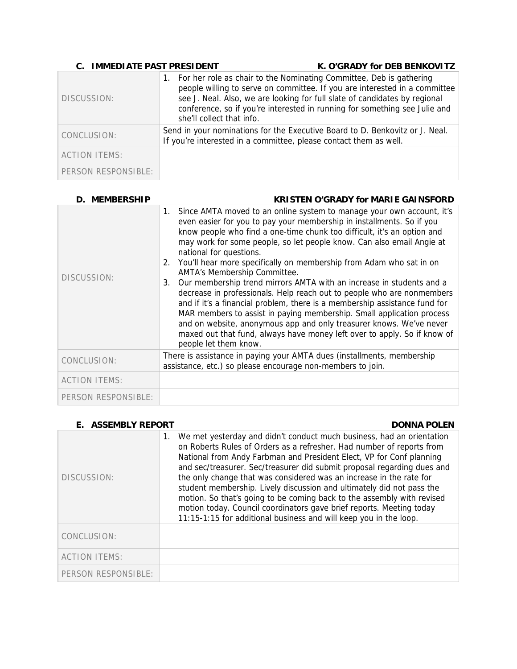| <b>C. IMMEDIATE PAST PRESIDENT</b> |                                                                   | K. O'GRADY for DEB BENKOVITZ                                                                                                                                                                                                                                                                                     |
|------------------------------------|-------------------------------------------------------------------|------------------------------------------------------------------------------------------------------------------------------------------------------------------------------------------------------------------------------------------------------------------------------------------------------------------|
| DISCUSSION:                        | she'll collect that info.                                         | 1. For her role as chair to the Nominating Committee, Deb is gathering<br>people willing to serve on committee. If you are interested in a committee<br>see J. Neal. Also, we are looking for full slate of candidates by regional<br>conference, so if you're interested in running for something see Julie and |
| CONCLUSION:                        | If you're interested in a committee, please contact them as well. | Send in your nominations for the Executive Board to D. Benkovitz or J. Neal.                                                                                                                                                                                                                                     |
| <b>ACTION ITEMS:</b>               |                                                                   |                                                                                                                                                                                                                                                                                                                  |
| PERSON RESPONSIBLE:                |                                                                   |                                                                                                                                                                                                                                                                                                                  |

| D. MEMBERSHIP        | <b>KRISTEN O'GRADY for MARIE GAINSFORD</b>                                                                                                                                                                                                                                                                                                                                                                                                                                                                                                                                                                                                                                                                                                                                                                                                                                                                                                  |
|----------------------|---------------------------------------------------------------------------------------------------------------------------------------------------------------------------------------------------------------------------------------------------------------------------------------------------------------------------------------------------------------------------------------------------------------------------------------------------------------------------------------------------------------------------------------------------------------------------------------------------------------------------------------------------------------------------------------------------------------------------------------------------------------------------------------------------------------------------------------------------------------------------------------------------------------------------------------------|
| DISCUSSION:          | Since AMTA moved to an online system to manage your own account, it's<br>1.<br>even easier for you to pay your membership in installments. So if you<br>know people who find a one-time chunk too difficult, it's an option and<br>may work for some people, so let people know. Can also email Angie at<br>national for questions.<br>You'll hear more specifically on membership from Adam who sat in on<br>2.<br>AMTA's Membership Committee.<br>Our membership trend mirrors AMTA with an increase in students and a<br>3.<br>decrease in professionals. Help reach out to people who are nonmembers<br>and if it's a financial problem, there is a membership assistance fund for<br>MAR members to assist in paying membership. Small application process<br>and on website, anonymous app and only treasurer knows. We've never<br>maxed out that fund, always have money left over to apply. So if know of<br>people let them know. |
| CONCLUSION:          | There is assistance in paying your AMTA dues (installments, membership<br>assistance, etc.) so please encourage non-members to join.                                                                                                                                                                                                                                                                                                                                                                                                                                                                                                                                                                                                                                                                                                                                                                                                        |
| <b>ACTION ITEMS:</b> |                                                                                                                                                                                                                                                                                                                                                                                                                                                                                                                                                                                                                                                                                                                                                                                                                                                                                                                                             |
| PERSON RESPONSIBLE:  |                                                                                                                                                                                                                                                                                                                                                                                                                                                                                                                                                                                                                                                                                                                                                                                                                                                                                                                                             |

| <b>E. ASSEMBLY REPORT</b> | <b>DONNA POLEN</b>                                                                                                                                                                                                                                                                                                                                                                                                                                                                                                                                                                                                                                                             |
|---------------------------|--------------------------------------------------------------------------------------------------------------------------------------------------------------------------------------------------------------------------------------------------------------------------------------------------------------------------------------------------------------------------------------------------------------------------------------------------------------------------------------------------------------------------------------------------------------------------------------------------------------------------------------------------------------------------------|
| DISCUSSION:               | We met yesterday and didn't conduct much business, had an orientation<br>1.<br>on Roberts Rules of Orders as a refresher. Had number of reports from<br>National from Andy Farbman and President Elect, VP for Conf planning<br>and sec/treasurer. Sec/treasurer did submit proposal regarding dues and<br>the only change that was considered was an increase in the rate for<br>student membership. Lively discussion and ultimately did not pass the<br>motion. So that's going to be coming back to the assembly with revised<br>motion today. Council coordinators gave brief reports. Meeting today<br>11:15-1:15 for additional business and will keep you in the loop. |
| CONCLUSION:               |                                                                                                                                                                                                                                                                                                                                                                                                                                                                                                                                                                                                                                                                                |
| <b>ACTION ITEMS:</b>      |                                                                                                                                                                                                                                                                                                                                                                                                                                                                                                                                                                                                                                                                                |
| PERSON RESPONSIBLE:       |                                                                                                                                                                                                                                                                                                                                                                                                                                                                                                                                                                                                                                                                                |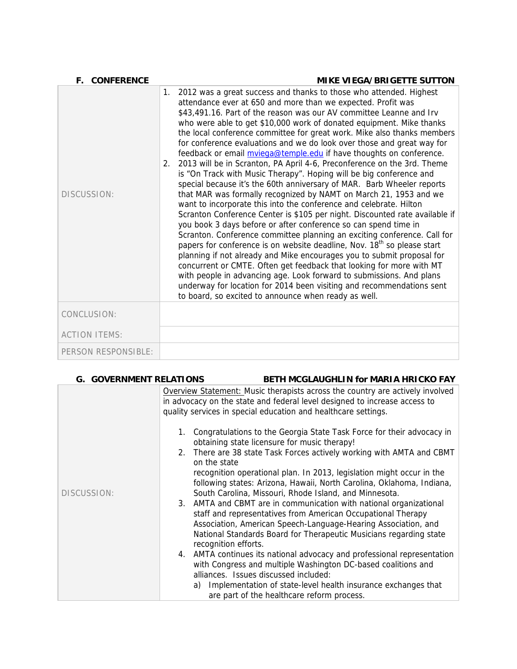| <b>F. CONFERENCE</b> | <b>MIKE VIEGA/BRIGETTE SUTTON</b>                                                                                                                                                                                                                                                                                                                                                                                                                                                                                                                                                                                                                                                                                                                                                                                                                                                                                                                                                                                                                                                                                                                                                                                                                                                                                                                                                                                                                                                                                                                                                |
|----------------------|----------------------------------------------------------------------------------------------------------------------------------------------------------------------------------------------------------------------------------------------------------------------------------------------------------------------------------------------------------------------------------------------------------------------------------------------------------------------------------------------------------------------------------------------------------------------------------------------------------------------------------------------------------------------------------------------------------------------------------------------------------------------------------------------------------------------------------------------------------------------------------------------------------------------------------------------------------------------------------------------------------------------------------------------------------------------------------------------------------------------------------------------------------------------------------------------------------------------------------------------------------------------------------------------------------------------------------------------------------------------------------------------------------------------------------------------------------------------------------------------------------------------------------------------------------------------------------|
| DISCUSSION:          | 2012 was a great success and thanks to those who attended. Highest<br>1.<br>attendance ever at 650 and more than we expected. Profit was<br>\$43,491.16. Part of the reason was our AV committee Leanne and Irv<br>who were able to get \$10,000 work of donated equipment. Mike thanks<br>the local conference committee for great work. Mike also thanks members<br>for conference evaluations and we do look over those and great way for<br>feedback or email mvieqa@temple.edu if have thoughts on conference.<br>2013 will be in Scranton, PA April 4-6, Preconference on the 3rd. Theme<br>2.<br>is "On Track with Music Therapy". Hoping will be big conference and<br>special because it's the 60th anniversary of MAR. Barb Wheeler reports<br>that MAR was formally recognized by NAMT on March 21, 1953 and we<br>want to incorporate this into the conference and celebrate. Hilton<br>Scranton Conference Center is \$105 per night. Discounted rate available if<br>you book 3 days before or after conference so can spend time in<br>Scranton. Conference committee planning an exciting conference. Call for<br>papers for conference is on website deadline, Nov. 18 <sup>th</sup> so please start<br>planning if not already and Mike encourages you to submit proposal for<br>concurrent or CMTE. Often get feedback that looking for more with MT<br>with people in advancing age. Look forward to submissions. And plans<br>underway for location for 2014 been visiting and recommendations sent<br>to board, so excited to announce when ready as well. |
| CONCLUSION:          |                                                                                                                                                                                                                                                                                                                                                                                                                                                                                                                                                                                                                                                                                                                                                                                                                                                                                                                                                                                                                                                                                                                                                                                                                                                                                                                                                                                                                                                                                                                                                                                  |
| <b>ACTION ITEMS:</b> |                                                                                                                                                                                                                                                                                                                                                                                                                                                                                                                                                                                                                                                                                                                                                                                                                                                                                                                                                                                                                                                                                                                                                                                                                                                                                                                                                                                                                                                                                                                                                                                  |
| PERSON RESPONSIBLE:  |                                                                                                                                                                                                                                                                                                                                                                                                                                                                                                                                                                                                                                                                                                                                                                                                                                                                                                                                                                                                                                                                                                                                                                                                                                                                                                                                                                                                                                                                                                                                                                                  |

| <b>G. GOVERNMENT RELATIONS</b> | <b>BETH MCGLAUGHLIN for MARIA HRICKO FAY</b> |
|--------------------------------|----------------------------------------------|
|                                |                                              |

|             | Overview Statement: Music therapists across the country are actively involved<br>in advocacy on the state and federal level designed to increase access to<br>quality services in special education and healthcare settings.                                                                       |
|-------------|----------------------------------------------------------------------------------------------------------------------------------------------------------------------------------------------------------------------------------------------------------------------------------------------------|
| DISCUSSION: | 1. Congratulations to the Georgia State Task Force for their advocacy in<br>obtaining state licensure for music therapy!                                                                                                                                                                           |
|             | 2. There are 38 state Task Forces actively working with AMTA and CBMT<br>on the state                                                                                                                                                                                                              |
|             | recognition operational plan. In 2013, legislation might occur in the<br>following states: Arizona, Hawaii, North Carolina, Oklahoma, Indiana,<br>South Carolina, Missouri, Rhode Island, and Minnesota.                                                                                           |
|             | 3. AMTA and CBMT are in communication with national organizational<br>staff and representatives from American Occupational Therapy<br>Association, American Speech-Language-Hearing Association, and<br>National Standards Board for Therapeutic Musicians regarding state<br>recognition efforts. |
|             | 4. AMTA continues its national advocacy and professional representation<br>with Congress and multiple Washington DC-based coalitions and<br>alliances. Issues discussed included:<br>a) Implementation of state-level health insurance exchanges that                                              |
|             | are part of the healthcare reform process.                                                                                                                                                                                                                                                         |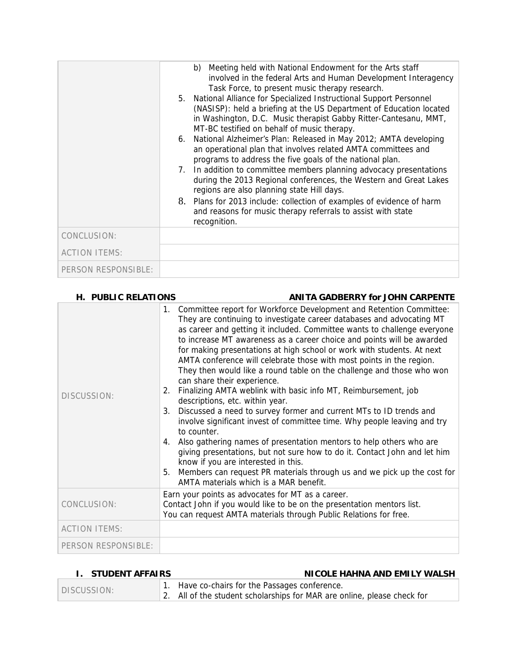|                      | b) Meeting held with National Endowment for the Arts staff<br>involved in the federal Arts and Human Development Interagency<br>Task Force, to present music therapy research.<br>5. National Alliance for Specialized Instructional Support Personnel<br>(NASISP): held a briefing at the US Department of Education located<br>in Washington, D.C. Music therapist Gabby Ritter-Cantesanu, MMT,<br>MT-BC testified on behalf of music therapy.<br>6. National Alzheimer's Plan: Released in May 2012; AMTA developing<br>an operational plan that involves related AMTA committees and<br>programs to address the five goals of the national plan.<br>7. In addition to committee members planning advocacy presentations<br>during the 2013 Regional conferences, the Western and Great Lakes<br>regions are also planning state Hill days.<br>8. Plans for 2013 include: collection of examples of evidence of harm<br>and reasons for music therapy referrals to assist with state<br>recognition. |
|----------------------|---------------------------------------------------------------------------------------------------------------------------------------------------------------------------------------------------------------------------------------------------------------------------------------------------------------------------------------------------------------------------------------------------------------------------------------------------------------------------------------------------------------------------------------------------------------------------------------------------------------------------------------------------------------------------------------------------------------------------------------------------------------------------------------------------------------------------------------------------------------------------------------------------------------------------------------------------------------------------------------------------------|
| CONCLUSION:          |                                                                                                                                                                                                                                                                                                                                                                                                                                                                                                                                                                                                                                                                                                                                                                                                                                                                                                                                                                                                         |
| <b>ACTION ITEMS:</b> |                                                                                                                                                                                                                                                                                                                                                                                                                                                                                                                                                                                                                                                                                                                                                                                                                                                                                                                                                                                                         |
| PERSON RESPONSIBLE:  |                                                                                                                                                                                                                                                                                                                                                                                                                                                                                                                                                                                                                                                                                                                                                                                                                                                                                                                                                                                                         |

| H. PUBLIC RELATIONS  | <b>ANITA GADBERRY for JOHN CARPENTE</b>                                                                                                                                                                                                                                                                                                                                                                                                                                                                                                                                                                                                                                                                                                                                                                                                                                                                                                                                                                                                                                                                                                                                       |
|----------------------|-------------------------------------------------------------------------------------------------------------------------------------------------------------------------------------------------------------------------------------------------------------------------------------------------------------------------------------------------------------------------------------------------------------------------------------------------------------------------------------------------------------------------------------------------------------------------------------------------------------------------------------------------------------------------------------------------------------------------------------------------------------------------------------------------------------------------------------------------------------------------------------------------------------------------------------------------------------------------------------------------------------------------------------------------------------------------------------------------------------------------------------------------------------------------------|
| DISCUSSION:          | 1. Committee report for Workforce Development and Retention Committee:<br>They are continuing to investigate career databases and advocating MT<br>as career and getting it included. Committee wants to challenge everyone<br>to increase MT awareness as a career choice and points will be awarded<br>for making presentations at high school or work with students. At next<br>AMTA conference will celebrate those with most points in the region.<br>They then would like a round table on the challenge and those who won<br>can share their experience.<br>Finalizing AMTA weblink with basic info MT, Reimbursement, job<br>2.<br>descriptions, etc. within year.<br>Discussed a need to survey former and current MTs to ID trends and<br>3.<br>involve significant invest of committee time. Why people leaving and try<br>to counter.<br>Also gathering names of presentation mentors to help others who are<br>4.<br>giving presentations, but not sure how to do it. Contact John and let him<br>know if you are interested in this.<br>Members can request PR materials through us and we pick up the cost for<br>5.<br>AMTA materials which is a MAR benefit. |
| CONCLUSION:          | Earn your points as advocates for MT as a career.<br>Contact John if you would like to be on the presentation mentors list.<br>You can request AMTA materials through Public Relations for free.                                                                                                                                                                                                                                                                                                                                                                                                                                                                                                                                                                                                                                                                                                                                                                                                                                                                                                                                                                              |
| <b>ACTION ITEMS:</b> |                                                                                                                                                                                                                                                                                                                                                                                                                                                                                                                                                                                                                                                                                                                                                                                                                                                                                                                                                                                                                                                                                                                                                                               |
| PERSON RESPONSIBLE:  |                                                                                                                                                                                                                                                                                                                                                                                                                                                                                                                                                                                                                                                                                                                                                                                                                                                                                                                                                                                                                                                                                                                                                                               |

| <b>I. STUDENT AFFAIRS</b> |  | NICOLE HAHNA AND EMILY WALSH                                                                                              |
|---------------------------|--|---------------------------------------------------------------------------------------------------------------------------|
| DISCUSSION:               |  | 1. Have co-chairs for the Passages conference.<br>2. All of the student scholarships for MAR are online, please check for |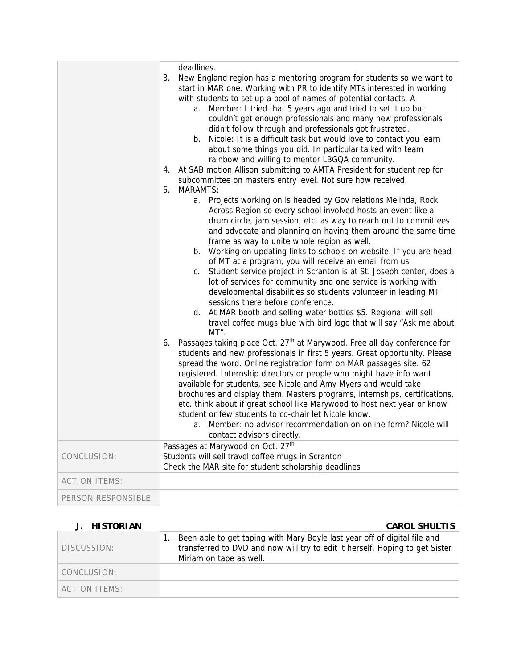|                      | deadlines.<br>New England region has a mentoring program for students so we want to<br>3.<br>start in MAR one. Working with PR to identify MTs interested in working<br>with students to set up a pool of names of potential contacts. A<br>Member: I tried that 5 years ago and tried to set it up but<br>a.<br>couldn't get enough professionals and many new professionals<br>didn't follow through and professionals got frustrated.<br>b. Nicole: It is a difficult task but would love to contact you learn<br>about some things you did. In particular talked with team<br>rainbow and willing to mentor LBGQA community.<br>At SAB motion Allison submitting to AMTA President for student rep for<br>4.<br>subcommittee on masters entry level. Not sure how received.<br>5.<br><b>MARAMTS:</b><br>a. Projects working on is headed by Gov relations Melinda, Rock<br>Across Region so every school involved hosts an event like a<br>drum circle, jam session, etc. as way to reach out to committees<br>and advocate and planning on having them around the same time<br>frame as way to unite whole region as well.<br>b. Working on updating links to schools on website. If you are head<br>of MT at a program, you will receive an email from us.<br>Student service project in Scranton is at St. Joseph center, does a<br>C.<br>lot of services for community and one service is working with<br>developmental disabilities so students volunteer in leading MT<br>sessions there before conference.<br>d. At MAR booth and selling water bottles \$5. Regional will sell<br>travel coffee mugs blue with bird logo that will say "Ask me about<br>MT".<br>Passages taking place Oct. 27 <sup>th</sup> at Marywood. Free all day conference for<br>6.<br>students and new professionals in first 5 years. Great opportunity. Please<br>spread the word. Online registration form on MAR passages site. 62<br>registered. Internship directors or people who might have info want<br>available for students, see Nicole and Amy Myers and would take<br>brochures and display them. Masters programs, internships, certifications, |
|----------------------|----------------------------------------------------------------------------------------------------------------------------------------------------------------------------------------------------------------------------------------------------------------------------------------------------------------------------------------------------------------------------------------------------------------------------------------------------------------------------------------------------------------------------------------------------------------------------------------------------------------------------------------------------------------------------------------------------------------------------------------------------------------------------------------------------------------------------------------------------------------------------------------------------------------------------------------------------------------------------------------------------------------------------------------------------------------------------------------------------------------------------------------------------------------------------------------------------------------------------------------------------------------------------------------------------------------------------------------------------------------------------------------------------------------------------------------------------------------------------------------------------------------------------------------------------------------------------------------------------------------------------------------------------------------------------------------------------------------------------------------------------------------------------------------------------------------------------------------------------------------------------------------------------------------------------------------------------------------------------------------------------------------------------------------------------------------------------------------------------------------------------------------------------|
|                      | etc. think about if great school like Marywood to host next year or know<br>student or few students to co-chair let Nicole know.<br>Member: no advisor recommendation on online form? Nicole will<br>a.<br>contact advisors directly.                                                                                                                                                                                                                                                                                                                                                                                                                                                                                                                                                                                                                                                                                                                                                                                                                                                                                                                                                                                                                                                                                                                                                                                                                                                                                                                                                                                                                                                                                                                                                                                                                                                                                                                                                                                                                                                                                                              |
|                      | Passages at Marywood on Oct. 27 <sup>th</sup>                                                                                                                                                                                                                                                                                                                                                                                                                                                                                                                                                                                                                                                                                                                                                                                                                                                                                                                                                                                                                                                                                                                                                                                                                                                                                                                                                                                                                                                                                                                                                                                                                                                                                                                                                                                                                                                                                                                                                                                                                                                                                                      |
| CONCLUSION:          | Students will sell travel coffee mugs in Scranton<br>Check the MAR site for student scholarship deadlines                                                                                                                                                                                                                                                                                                                                                                                                                                                                                                                                                                                                                                                                                                                                                                                                                                                                                                                                                                                                                                                                                                                                                                                                                                                                                                                                                                                                                                                                                                                                                                                                                                                                                                                                                                                                                                                                                                                                                                                                                                          |
| <b>ACTION ITEMS:</b> |                                                                                                                                                                                                                                                                                                                                                                                                                                                                                                                                                                                                                                                                                                                                                                                                                                                                                                                                                                                                                                                                                                                                                                                                                                                                                                                                                                                                                                                                                                                                                                                                                                                                                                                                                                                                                                                                                                                                                                                                                                                                                                                                                    |
| PERSON RESPONSIBLE:  |                                                                                                                                                                                                                                                                                                                                                                                                                                                                                                                                                                                                                                                                                                                                                                                                                                                                                                                                                                                                                                                                                                                                                                                                                                                                                                                                                                                                                                                                                                                                                                                                                                                                                                                                                                                                                                                                                                                                                                                                                                                                                                                                                    |

#### **J. HISTORIAN CAROL SHULTIS** DISCUSSION: 1. Been able to get taping with Mary Boyle last year off of digital file and transferred to DVD and now will try to edit it herself. Hoping to get Sister Miriam on tape as well. CONCLUSION: ACTION ITEMS: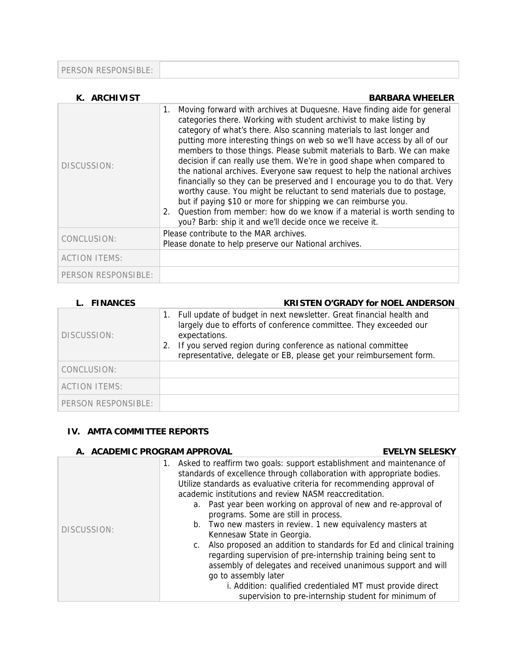PERSON RESPONSIBLE:

| K. ARCHIVIST         | <b>BARBARA WHEELER</b>                                                                                                                                                                                                                                                                                                                                                                                                                                                                                                                                                                                                                                                                                                                                                                                                                                                                                   |
|----------------------|----------------------------------------------------------------------------------------------------------------------------------------------------------------------------------------------------------------------------------------------------------------------------------------------------------------------------------------------------------------------------------------------------------------------------------------------------------------------------------------------------------------------------------------------------------------------------------------------------------------------------------------------------------------------------------------------------------------------------------------------------------------------------------------------------------------------------------------------------------------------------------------------------------|
| DISCUSSION:          | Moving forward with archives at Duquesne. Have finding aide for general<br>1.<br>categories there. Working with student archivist to make listing by<br>category of what's there. Also scanning materials to last longer and<br>putting more interesting things on web so we'll have access by all of our<br>members to those things. Please submit materials to Barb. We can make<br>decision if can really use them. We're in good shape when compared to<br>the national archives. Everyone saw request to help the national archives<br>financially so they can be preserved and I encourage you to do that. Very<br>worthy cause. You might be reluctant to send materials due to postage,<br>but if paying \$10 or more for shipping we can reimburse you.<br>2. Question from member: how do we know if a material is worth sending to<br>you? Barb: ship it and we'll decide once we receive it. |
| CONCLUSION:          | Please contribute to the MAR archives.<br>Please donate to help preserve our National archives.                                                                                                                                                                                                                                                                                                                                                                                                                                                                                                                                                                                                                                                                                                                                                                                                          |
| <b>ACTION ITEMS:</b> |                                                                                                                                                                                                                                                                                                                                                                                                                                                                                                                                                                                                                                                                                                                                                                                                                                                                                                          |
| PERSON RESPONSIBLE:  |                                                                                                                                                                                                                                                                                                                                                                                                                                                                                                                                                                                                                                                                                                                                                                                                                                                                                                          |

| L. FINANCES          | <b>KRISTEN O'GRADY for NOEL ANDERSON</b>                                                                                                                                                                                                                                                                      |
|----------------------|---------------------------------------------------------------------------------------------------------------------------------------------------------------------------------------------------------------------------------------------------------------------------------------------------------------|
| DISCUSSION:          | Full update of budget in next newsletter. Great financial health and<br>1.<br>largely due to efforts of conference committee. They exceeded our<br>expectations.<br>If you served region during conference as national committee<br>2.<br>representative, delegate or EB, please get your reimbursement form. |
| CONCLUSION:          |                                                                                                                                                                                                                                                                                                               |
| <b>ACTION ITEMS:</b> |                                                                                                                                                                                                                                                                                                               |
| PERSON RESPONSIBLE:  |                                                                                                                                                                                                                                                                                                               |

### **IV. AMTA COMMITTEE REPORTS**

#### **A. ACADEMIC PROGRAM APPROVAL EVELYN SELESKY**

| DISCUSSION: | Asked to reaffirm two goals: support establishment and maintenance of<br>1.<br>standards of excellence through collaboration with appropriate bodies.<br>Utilize standards as evaluative criteria for recommending approval of<br>academic institutions and review NASM reaccreditation.<br>a. Past year been working on approval of new and re-approval of<br>programs. Some are still in process.<br>b. Two new masters in review. 1 new equivalency masters at<br>Kennesaw State in Georgia.<br>Also proposed an addition to standards for Ed and clinical training<br>C.<br>regarding supervision of pre-internship training being sent to<br>assembly of delegates and received unanimous support and will<br>go to assembly later<br>i. Addition: qualified credentialed MT must provide direct | supervision to pre-internship student for minimum of |
|-------------|-------------------------------------------------------------------------------------------------------------------------------------------------------------------------------------------------------------------------------------------------------------------------------------------------------------------------------------------------------------------------------------------------------------------------------------------------------------------------------------------------------------------------------------------------------------------------------------------------------------------------------------------------------------------------------------------------------------------------------------------------------------------------------------------------------|------------------------------------------------------|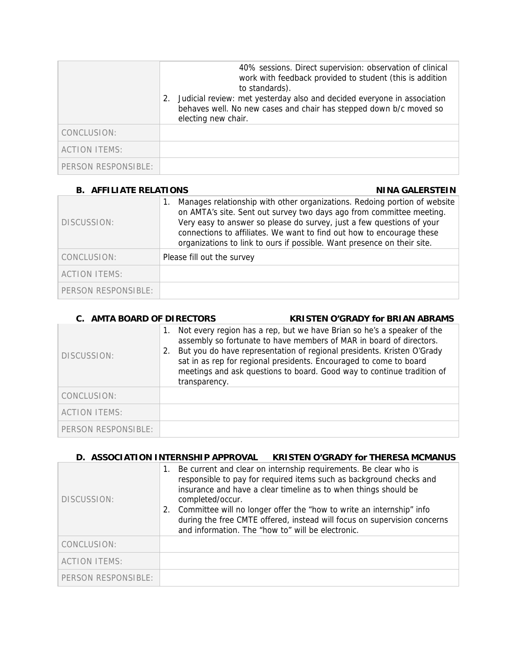|                      | 40% sessions. Direct supervision: observation of clinical<br>work with feedback provided to student (this is addition<br>to standards).<br>Judicial review: met yesterday also and decided everyone in association<br>2.<br>behaves well. No new cases and chair has stepped down b/c moved so<br>electing new chair. |
|----------------------|-----------------------------------------------------------------------------------------------------------------------------------------------------------------------------------------------------------------------------------------------------------------------------------------------------------------------|
| CONCLUSION:          |                                                                                                                                                                                                                                                                                                                       |
| <b>ACTION ITEMS:</b> |                                                                                                                                                                                                                                                                                                                       |
| PERSON RESPONSIBLE:  |                                                                                                                                                                                                                                                                                                                       |

| <b>B. AFFILIATE RELATIONS</b> | <b>NINA GALERSTEIN</b>                                                                                                                                                                                                                                                                                                                                                         |
|-------------------------------|--------------------------------------------------------------------------------------------------------------------------------------------------------------------------------------------------------------------------------------------------------------------------------------------------------------------------------------------------------------------------------|
| DISCUSSION:                   | Manages relationship with other organizations. Redoing portion of website<br>on AMTA's site. Sent out survey two days ago from committee meeting.<br>Very easy to answer so please do survey, just a few questions of your<br>connections to affiliates. We want to find out how to encourage these<br>organizations to link to ours if possible. Want presence on their site. |
| CONCLUSION:                   | Please fill out the survey                                                                                                                                                                                                                                                                                                                                                     |
| <b>ACTION ITEMS:</b>          |                                                                                                                                                                                                                                                                                                                                                                                |
| PERSON RESPONSIBLE:           |                                                                                                                                                                                                                                                                                                                                                                                |

| <b>C. AMTA BOARD OF DIRECTORS</b> |                     | <b>KRISTEN O'GRADY for BRIAN ABRAMS</b>                                                                                                                                                                                                                                                                                                                                 |
|-----------------------------------|---------------------|-------------------------------------------------------------------------------------------------------------------------------------------------------------------------------------------------------------------------------------------------------------------------------------------------------------------------------------------------------------------------|
| DISCUSSION:                       | 2.<br>transparency. | Not every region has a rep, but we have Brian so he's a speaker of the<br>assembly so fortunate to have members of MAR in board of directors.<br>But you do have representation of regional presidents. Kristen O'Grady<br>sat in as rep for regional presidents. Encouraged to come to board<br>meetings and ask questions to board. Good way to continue tradition of |
| CONCLUSION:                       |                     |                                                                                                                                                                                                                                                                                                                                                                         |
| <b>ACTION ITEMS:</b>              |                     |                                                                                                                                                                                                                                                                                                                                                                         |
| PERSON RESPONSIBLE:               |                     |                                                                                                                                                                                                                                                                                                                                                                         |

|                      |          | D. ASSOCIATION INTERNSHIP APPROVAL<br><b>KRISTEN O'GRADY for THERESA MCMANUS</b>                                                                                                                                                                                                                                                                                                                                                        |
|----------------------|----------|-----------------------------------------------------------------------------------------------------------------------------------------------------------------------------------------------------------------------------------------------------------------------------------------------------------------------------------------------------------------------------------------------------------------------------------------|
| DISCUSSION:          | 1.<br>2. | Be current and clear on internship requirements. Be clear who is<br>responsible to pay for required items such as background checks and<br>insurance and have a clear timeline as to when things should be<br>completed/occur.<br>Committee will no longer offer the "how to write an internship" info<br>during the free CMTE offered, instead will focus on supervision concerns<br>and information. The "how to" will be electronic. |
| CONCLUSION:          |          |                                                                                                                                                                                                                                                                                                                                                                                                                                         |
| <b>ACTION ITEMS:</b> |          |                                                                                                                                                                                                                                                                                                                                                                                                                                         |
| PERSON RESPONSIBLE:  |          |                                                                                                                                                                                                                                                                                                                                                                                                                                         |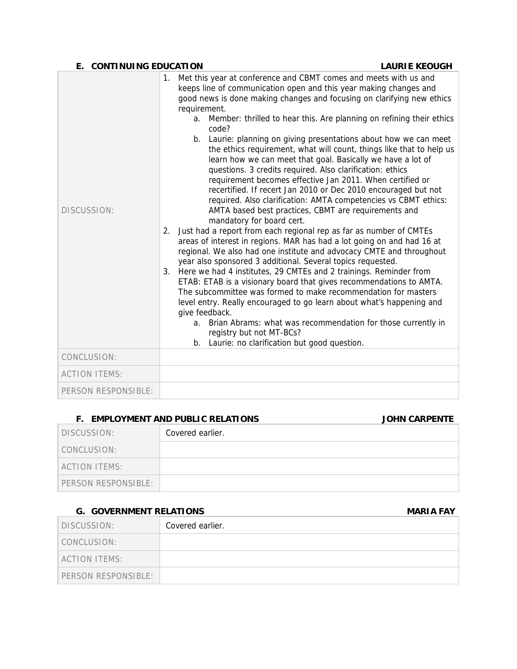| E. CONTINUING EDUCATION |                                                                                                                                                                                                                                                                                                                                                                                                                                                                                                                                                                                                                                                                                                                                                                                                                                                                                                                                                                                                                                                                                                                                                                                                                                                                                                                                                                                                                                                                                                                                                                                                                                                                    | <b>LAURIE KEOUGH</b> |
|-------------------------|--------------------------------------------------------------------------------------------------------------------------------------------------------------------------------------------------------------------------------------------------------------------------------------------------------------------------------------------------------------------------------------------------------------------------------------------------------------------------------------------------------------------------------------------------------------------------------------------------------------------------------------------------------------------------------------------------------------------------------------------------------------------------------------------------------------------------------------------------------------------------------------------------------------------------------------------------------------------------------------------------------------------------------------------------------------------------------------------------------------------------------------------------------------------------------------------------------------------------------------------------------------------------------------------------------------------------------------------------------------------------------------------------------------------------------------------------------------------------------------------------------------------------------------------------------------------------------------------------------------------------------------------------------------------|----------------------|
| DISCUSSION:             | Met this year at conference and CBMT comes and meets with us and<br>$1_{\cdot}$<br>keeps line of communication open and this year making changes and<br>good news is done making changes and focusing on clarifying new ethics<br>requirement.<br>Member: thrilled to hear this. Are planning on refining their ethics<br>a.<br>code?<br>b. Laurie: planning on giving presentations about how we can meet<br>the ethics requirement, what will count, things like that to help us<br>learn how we can meet that goal. Basically we have a lot of<br>questions. 3 credits required. Also clarification: ethics<br>requirement becomes effective Jan 2011. When certified or<br>recertified. If recert Jan 2010 or Dec 2010 encouraged but not<br>required. Also clarification: AMTA competencies vs CBMT ethics:<br>AMTA based best practices, CBMT are requirements and<br>mandatory for board cert.<br>Just had a report from each regional rep as far as number of CMTEs<br>2.<br>areas of interest in regions. MAR has had a lot going on and had 16 at<br>regional. We also had one institute and advocacy CMTE and throughout<br>year also sponsored 3 additional. Several topics requested.<br>3.<br>Here we had 4 institutes, 29 CMTEs and 2 trainings. Reminder from<br>ETAB: ETAB is a visionary board that gives recommendations to AMTA.<br>The subcommittee was formed to make recommendation for masters<br>level entry. Really encouraged to go learn about what's happening and<br>give feedback.<br>a. Brian Abrams: what was recommendation for those currently in<br>registry but not MT-BCs?<br>b. Laurie: no clarification but good question. |                      |
| CONCLUSION:             |                                                                                                                                                                                                                                                                                                                                                                                                                                                                                                                                                                                                                                                                                                                                                                                                                                                                                                                                                                                                                                                                                                                                                                                                                                                                                                                                                                                                                                                                                                                                                                                                                                                                    |                      |
| <b>ACTION ITEMS:</b>    |                                                                                                                                                                                                                                                                                                                                                                                                                                                                                                                                                                                                                                                                                                                                                                                                                                                                                                                                                                                                                                                                                                                                                                                                                                                                                                                                                                                                                                                                                                                                                                                                                                                                    |                      |
| PERSON RESPONSIBLE:     |                                                                                                                                                                                                                                                                                                                                                                                                                                                                                                                                                                                                                                                                                                                                                                                                                                                                                                                                                                                                                                                                                                                                                                                                                                                                                                                                                                                                                                                                                                                                                                                                                                                                    |                      |

### **F. EMPLOYMENT AND PUBLIC RELATIONS JOHN CARPENTE**

DISCUSSION: Covered earlier.

#### **G.** GOVERNMENT RELATIONS **MARIA FAY**

CONCLUSION: ACTION ITEMS:

PERSON RESPONSIBLE:

| DISCUSSION:          | Covered earlier. |
|----------------------|------------------|
| CONCLUSION:          |                  |
| <b>ACTION ITEMS:</b> |                  |
| PERSON RESPONSIBLE:  |                  |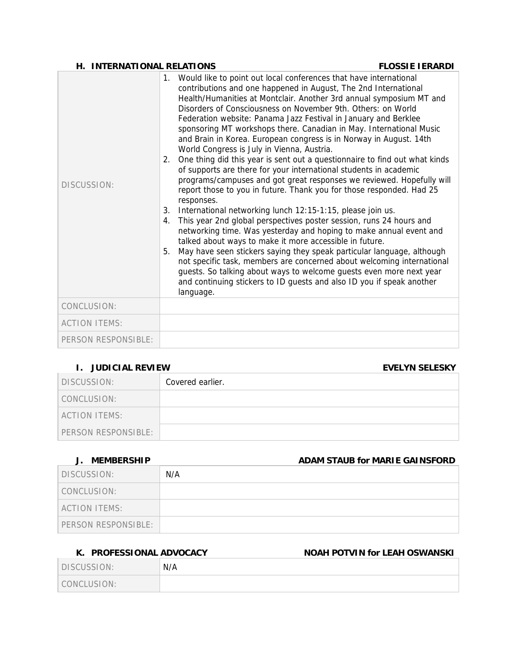#### **H. INTERNATIONAL RELATIONS FLOSSIE IERARDI**

| DISCUSSION:          | Would like to point out local conferences that have international<br>1.<br>contributions and one happened in August, The 2nd International<br>Health/Humanities at Montclair. Another 3rd annual symposium MT and<br>Disorders of Consciousness on November 9th. Others: on World<br>Federation website: Panama Jazz Festival in January and Berklee<br>sponsoring MT workshops there. Canadian in May. International Music<br>and Brain in Korea. European congress is in Norway in August. 14th<br>World Congress is July in Vienna, Austria.<br>One thing did this year is sent out a questionnaire to find out what kinds<br>2.<br>of supports are there for your international students in academic<br>programs/campuses and got great responses we reviewed. Hopefully will<br>report those to you in future. Thank you for those responded. Had 25<br>responses.<br>International networking lunch 12:15-1:15, please join us.<br>3.<br>This year 2nd global perspectives poster session, runs 24 hours and<br>4.<br>networking time. Was yesterday and hoping to make annual event and<br>talked about ways to make it more accessible in future.<br>May have seen stickers saying they speak particular language, although<br>5.<br>not specific task, members are concerned about welcoming international<br>guests. So talking about ways to welcome guests even more next year<br>and continuing stickers to ID guests and also ID you if speak another<br>language. |
|----------------------|----------------------------------------------------------------------------------------------------------------------------------------------------------------------------------------------------------------------------------------------------------------------------------------------------------------------------------------------------------------------------------------------------------------------------------------------------------------------------------------------------------------------------------------------------------------------------------------------------------------------------------------------------------------------------------------------------------------------------------------------------------------------------------------------------------------------------------------------------------------------------------------------------------------------------------------------------------------------------------------------------------------------------------------------------------------------------------------------------------------------------------------------------------------------------------------------------------------------------------------------------------------------------------------------------------------------------------------------------------------------------------------------------------------------------------------------------------------------------------|
| CONCLUSION:          |                                                                                                                                                                                                                                                                                                                                                                                                                                                                                                                                                                                                                                                                                                                                                                                                                                                                                                                                                                                                                                                                                                                                                                                                                                                                                                                                                                                                                                                                                  |
| <b>ACTION ITEMS:</b> |                                                                                                                                                                                                                                                                                                                                                                                                                                                                                                                                                                                                                                                                                                                                                                                                                                                                                                                                                                                                                                                                                                                                                                                                                                                                                                                                                                                                                                                                                  |
| PERSON RESPONSIBLE:  |                                                                                                                                                                                                                                                                                                                                                                                                                                                                                                                                                                                                                                                                                                                                                                                                                                                                                                                                                                                                                                                                                                                                                                                                                                                                                                                                                                                                                                                                                  |

### **I. JUDICIAL REVIEW EVELYN SELESKY**

|                     |                  | --------------- |
|---------------------|------------------|-----------------|
| DISCUSSION:         | Covered earlier. |                 |
| CONCLUSION:         |                  |                 |
| ACTION ITEMS:       |                  |                 |
| PERSON RESPONSIBLE: |                  |                 |

| J. MEMBERSHIP       | ADAM STAUB for MARIE GAINSFORD |
|---------------------|--------------------------------|
| DISCUSSION:         | N/A                            |
| CONCLUSION:         |                                |
| ACTION ITEMS:       |                                |
| PERSON RESPONSIBLE: |                                |

## K. PROFESSIONAL ADVOCACY **NOAH POTVIN for LEAH OSWANSKI**

| DISCUSSION: | N/A |
|-------------|-----|
| CONCLUSION: |     |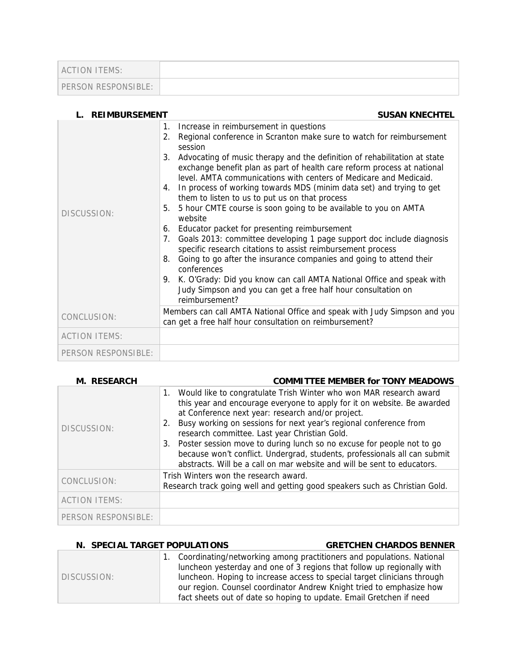| ACTION ITEMS:       |  |
|---------------------|--|
| PERSON RESPONSIBLE: |  |

| <b>REIMBURSEMENT</b> | <b>SUSAN KNECHTEL</b>                                                                                                                                                                                                                                                                                                                                                                                                                                                                                                                                                                                                                                                                                                                                                                                                                                                                                                                                                                                                                                          |
|----------------------|----------------------------------------------------------------------------------------------------------------------------------------------------------------------------------------------------------------------------------------------------------------------------------------------------------------------------------------------------------------------------------------------------------------------------------------------------------------------------------------------------------------------------------------------------------------------------------------------------------------------------------------------------------------------------------------------------------------------------------------------------------------------------------------------------------------------------------------------------------------------------------------------------------------------------------------------------------------------------------------------------------------------------------------------------------------|
| DISCUSSION:          | Increase in reimbursement in questions<br>1.<br>Regional conference in Scranton make sure to watch for reimbursement<br>2.<br>session<br>Advocating of music therapy and the definition of rehabilitation at state<br>3.<br>exchange benefit plan as part of health care reform process at national<br>level. AMTA communications with centers of Medicare and Medicaid.<br>In process of working towards MDS (minim data set) and trying to get<br>4.<br>them to listen to us to put us on that process<br>5 hour CMTE course is soon going to be available to you on AMTA<br>5.<br>website<br>Educator packet for presenting reimbursement<br>6.<br>Goals 2013: committee developing 1 page support doc include diagnosis<br>7.<br>specific research citations to assist reimbursement process<br>Going to go after the insurance companies and going to attend their<br>8.<br>conferences<br>K. O'Grady: Did you know can call AMTA National Office and speak with<br>9.<br>Judy Simpson and you can get a free half hour consultation on<br>reimbursement? |
| CONCLUSION:          | Members can call AMTA National Office and speak with Judy Simpson and you<br>can get a free half hour consultation on reimbursement?                                                                                                                                                                                                                                                                                                                                                                                                                                                                                                                                                                                                                                                                                                                                                                                                                                                                                                                           |
| <b>ACTION ITEMS:</b> |                                                                                                                                                                                                                                                                                                                                                                                                                                                                                                                                                                                                                                                                                                                                                                                                                                                                                                                                                                                                                                                                |
| PERSON RESPONSIBLE:  |                                                                                                                                                                                                                                                                                                                                                                                                                                                                                                                                                                                                                                                                                                                                                                                                                                                                                                                                                                                                                                                                |

| <b>M. RESEARCH</b>   | <b>COMMITTEE MEMBER for TONY MEADOWS</b>                                                                                                                                                                                                                                                                                                                                                                                                                                                                                                                                             |
|----------------------|--------------------------------------------------------------------------------------------------------------------------------------------------------------------------------------------------------------------------------------------------------------------------------------------------------------------------------------------------------------------------------------------------------------------------------------------------------------------------------------------------------------------------------------------------------------------------------------|
| DISCUSSION:          | Would like to congratulate Trish Winter who won MAR research award<br>$1_{\cdot}$<br>this year and encourage everyone to apply for it on website. Be awarded<br>at Conference next year: research and/or project.<br>Busy working on sessions for next year's regional conference from<br>2.<br>research committee. Last year Christian Gold.<br>Poster session move to during lunch so no excuse for people not to go<br>3.<br>because won't conflict. Undergrad, students, professionals all can submit<br>abstracts. Will be a call on mar website and will be sent to educators. |
| CONCLUSION:          | Trish Winters won the research award.<br>Research track going well and getting good speakers such as Christian Gold.                                                                                                                                                                                                                                                                                                                                                                                                                                                                 |
| <b>ACTION ITEMS:</b> |                                                                                                                                                                                                                                                                                                                                                                                                                                                                                                                                                                                      |
| PERSON RESPONSIBLE:  |                                                                                                                                                                                                                                                                                                                                                                                                                                                                                                                                                                                      |

#### **N. SPECIAL TARGET POPULATIONS GRETCHEN CHARDOS BENNER** DISCUSSION: 1. Coordinating/networking among practitioners and populations. National luncheon yesterday and one of 3 regions that follow up regionally with luncheon. Hoping to increase access to special target clinicians through our region. Counsel coordinator Andrew Knight tried to emphasize how fact sheets out of date so hoping to update. Email Gretchen if need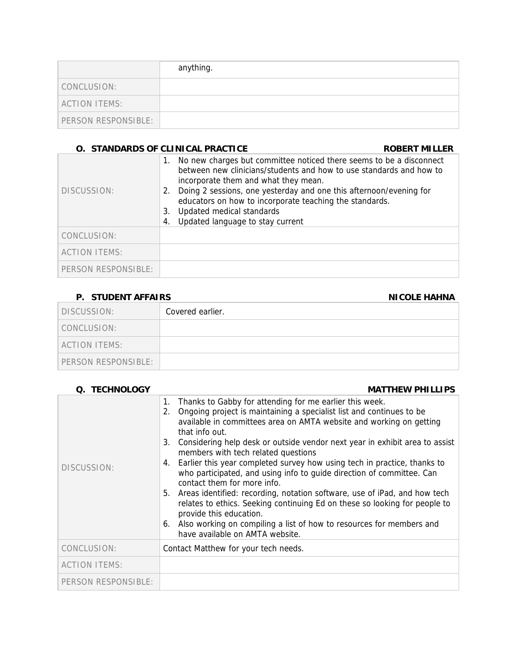|                      | anything. |
|----------------------|-----------|
| CONCLUSION:          |           |
| <b>ACTION ITEMS:</b> |           |
| PERSON RESPONSIBLE:  |           |

#### **O. STANDARDS OF CLINICAL PRACTICE CONSUMING A ROBERT MILLER**

| DISCUSSION:          | No new charges but committee noticed there seems to be a disconnect<br>1.<br>between new clinicians/students and how to use standards and how to<br>incorporate them and what they mean.<br>Doing 2 sessions, one yesterday and one this afternoon/evening for<br>2.<br>educators on how to incorporate teaching the standards.<br>Updated medical standards<br>3.<br>Updated language to stay current<br>4. |
|----------------------|--------------------------------------------------------------------------------------------------------------------------------------------------------------------------------------------------------------------------------------------------------------------------------------------------------------------------------------------------------------------------------------------------------------|
| CONCLUSION:          |                                                                                                                                                                                                                                                                                                                                                                                                              |
| <b>ACTION ITEMS:</b> |                                                                                                                                                                                                                                                                                                                                                                                                              |
| PERSON RESPONSIBLE:  |                                                                                                                                                                                                                                                                                                                                                                                                              |

#### **P. STUDENT AFFAIRS** NICOLE HAHNA

# DISCUSSION: Covered earlier. CONCLUSION: ACTION ITEMS: PERSON RESPONSIBLE:

| Q. TECHNOLOGY        | <b>MATTHEW PHILLIPS</b>                                                                                                                                                                                                                                                                                                                                                                                                                                                                                                                                                                                                                                                                                                                                                                                                                                              |
|----------------------|----------------------------------------------------------------------------------------------------------------------------------------------------------------------------------------------------------------------------------------------------------------------------------------------------------------------------------------------------------------------------------------------------------------------------------------------------------------------------------------------------------------------------------------------------------------------------------------------------------------------------------------------------------------------------------------------------------------------------------------------------------------------------------------------------------------------------------------------------------------------|
| DISCUSSION:          | Thanks to Gabby for attending for me earlier this week.<br>1.<br>Ongoing project is maintaining a specialist list and continues to be<br>2.<br>available in committees area on AMTA website and working on getting<br>that info out.<br>Considering help desk or outside vendor next year in exhibit area to assist<br>3.<br>members with tech related questions<br>Earlier this year completed survey how using tech in practice, thanks to<br>4.<br>who participated, and using info to guide direction of committee. Can<br>contact them for more info.<br>Areas identified: recording, notation software, use of iPad, and how tech<br>5.<br>relates to ethics. Seeking continuing Ed on these so looking for people to<br>provide this education.<br>6. Also working on compiling a list of how to resources for members and<br>have available on AMTA website. |
| CONCLUSION:          | Contact Matthew for your tech needs.                                                                                                                                                                                                                                                                                                                                                                                                                                                                                                                                                                                                                                                                                                                                                                                                                                 |
| <b>ACTION ITEMS:</b> |                                                                                                                                                                                                                                                                                                                                                                                                                                                                                                                                                                                                                                                                                                                                                                                                                                                                      |
| PERSON RESPONSIBLE:  |                                                                                                                                                                                                                                                                                                                                                                                                                                                                                                                                                                                                                                                                                                                                                                                                                                                                      |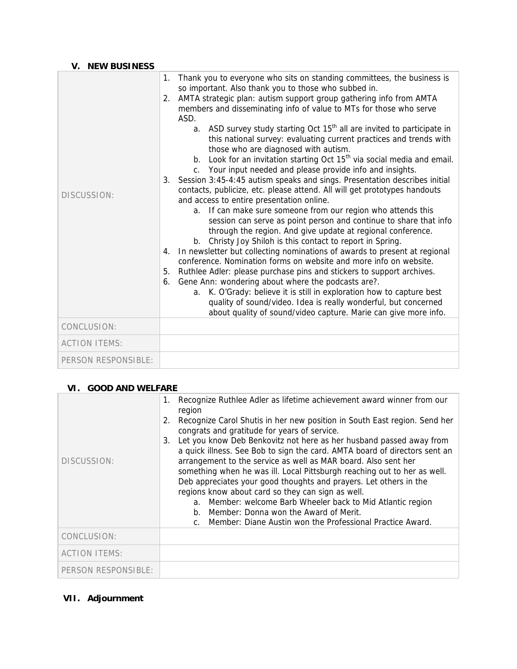### **V. NEW BUSINESS**

| DISCUSSION:          | Thank you to everyone who sits on standing committees, the business is<br>1.<br>so important. Also thank you to those who subbed in.<br>AMTA strategic plan: autism support group gathering info from AMTA<br>2.<br>members and disseminating info of value to MTs for those who serve<br>ASD.<br>a. ASD survey study starting Oct 15 <sup>th</sup> all are invited to participate in<br>this national survey: evaluating current practices and trends with<br>those who are diagnosed with autism.<br>Look for an invitation starting Oct 15 <sup>th</sup> via social media and email.<br>$b_{\cdot}$<br>c. Your input needed and please provide info and insights.<br>Session 3:45-4:45 autism speaks and sings. Presentation describes initial<br>3.<br>contacts, publicize, etc. please attend. All will get prototypes handouts<br>and access to entire presentation online.<br>a. If can make sure someone from our region who attends this<br>session can serve as point person and continue to share that info<br>through the region. And give update at regional conference.<br>b. Christy Joy Shiloh is this contact to report in Spring.<br>In newsletter but collecting nominations of awards to present at regional<br>4.<br>conference. Nomination forms on website and more info on website.<br>Ruthlee Adler: please purchase pins and stickers to support archives.<br>5.<br>Gene Ann: wondering about where the podcasts are?.<br>6.<br>a. K. O'Grady: believe it is still in exploration how to capture best<br>quality of sound/video. Idea is really wonderful, but concerned<br>about quality of sound/video capture. Marie can give more info. |
|----------------------|-----------------------------------------------------------------------------------------------------------------------------------------------------------------------------------------------------------------------------------------------------------------------------------------------------------------------------------------------------------------------------------------------------------------------------------------------------------------------------------------------------------------------------------------------------------------------------------------------------------------------------------------------------------------------------------------------------------------------------------------------------------------------------------------------------------------------------------------------------------------------------------------------------------------------------------------------------------------------------------------------------------------------------------------------------------------------------------------------------------------------------------------------------------------------------------------------------------------------------------------------------------------------------------------------------------------------------------------------------------------------------------------------------------------------------------------------------------------------------------------------------------------------------------------------------------------------------------------------------------------------------------------------------------------------|
| CONCLUSION:          |                                                                                                                                                                                                                                                                                                                                                                                                                                                                                                                                                                                                                                                                                                                                                                                                                                                                                                                                                                                                                                                                                                                                                                                                                                                                                                                                                                                                                                                                                                                                                                                                                                                                       |
| <b>ACTION ITEMS:</b> |                                                                                                                                                                                                                                                                                                                                                                                                                                                                                                                                                                                                                                                                                                                                                                                                                                                                                                                                                                                                                                                                                                                                                                                                                                                                                                                                                                                                                                                                                                                                                                                                                                                                       |
| PERSON RESPONSIBLE:  |                                                                                                                                                                                                                                                                                                                                                                                                                                                                                                                                                                                                                                                                                                                                                                                                                                                                                                                                                                                                                                                                                                                                                                                                                                                                                                                                                                                                                                                                                                                                                                                                                                                                       |

## **VI. GOOD AND WELFARE**

| DISCUSSION:          | Recognize Ruthlee Adler as lifetime achievement award winner from our<br>1.<br>region<br>Recognize Carol Shutis in her new position in South East region. Send her<br>2.<br>congrats and gratitude for years of service.<br>Let you know Deb Benkovitz not here as her husband passed away from<br>3.<br>a quick illness. See Bob to sign the card. AMTA board of directors sent an<br>arrangement to the service as well as MAR board. Also sent her<br>something when he was ill. Local Pittsburgh reaching out to her as well.<br>Deb appreciates your good thoughts and prayers. Let others in the<br>regions know about card so they can sign as well.<br>a. Member: welcome Barb Wheeler back to Mid Atlantic region<br>b. Member: Donna won the Award of Merit.<br>Member: Diane Austin won the Professional Practice Award. |
|----------------------|-------------------------------------------------------------------------------------------------------------------------------------------------------------------------------------------------------------------------------------------------------------------------------------------------------------------------------------------------------------------------------------------------------------------------------------------------------------------------------------------------------------------------------------------------------------------------------------------------------------------------------------------------------------------------------------------------------------------------------------------------------------------------------------------------------------------------------------|
| CONCLUSION:          |                                                                                                                                                                                                                                                                                                                                                                                                                                                                                                                                                                                                                                                                                                                                                                                                                                     |
| <b>ACTION ITEMS:</b> |                                                                                                                                                                                                                                                                                                                                                                                                                                                                                                                                                                                                                                                                                                                                                                                                                                     |
| PERSON RESPONSIBLE:  |                                                                                                                                                                                                                                                                                                                                                                                                                                                                                                                                                                                                                                                                                                                                                                                                                                     |

# **VII. Adjournment**